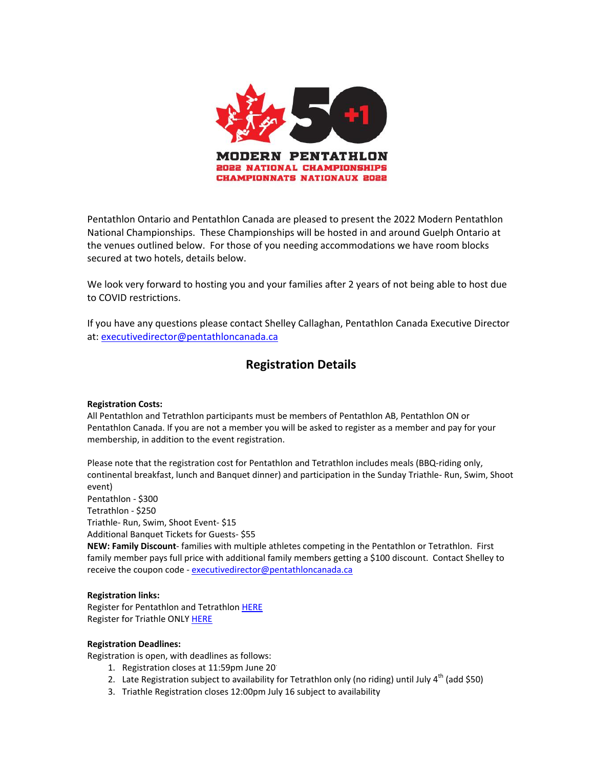

Pentathlon Ontario and Pentathlon Canada are pleased to present the 2022 Modern Pentathlon National Championships. These Championships will be hosted in and around Guelph Ontario at the venues outlined below. For those of you needing accommodations we have room blocks secured at two hotels, details below.

We look very forward to hosting you and your families after 2 years of not being able to host due to COVID restrictions.

If you have any questions please contact Shelley Callaghan, Pentathlon Canada Executive Director at: [executivedirector@pentathloncanada.ca](mailto:executivedirector@pentathloncanada.ca)

# **Registration Details**

### **Registration Costs:**

All Pentathlon and Tetrathlon participants must be members of Pentathlon AB, Pentathlon ON or Pentathlon Canada. If you are not a member you will be asked to register as a member and pay for your membership, in addition to the event registration.

Please note that the registration cost for Pentathlon and Tetrathlon includes meals (BBQ-riding only, continental breakfast, lunch and Banquet dinner) and participation in the Sunday Triathle- Run, Swim, Shoot event)

Pentathlon - \$300 Tetrathlon - \$250 Triathle- Run, Swim, Shoot Event- \$15 Additional Banquet Tickets for Guests- \$55

**NEW: Family Discount**- families with multiple athletes competing in the Pentathlon or Tetrathlon. First family member pays full price with additional family members getting a \$100 discount. Contact Shelley to receive the coupon code - [executivedirector@pentathloncanada.ca](mailto:executivedirector@pentathloncanada.ca)

### **Registration links:**

Register for Pentathlon and Tetrathlo[n HERE](https://2mev.com/#!/events/3786-pentathlon-canada-national-championships) Register for Triathle ONLY [HERE](https://2mev.com/#!/events/3793-pentathlon-canada-run-shoot-swim-fun-event)

### **Registration Deadlines:**

Registration is open, with deadlines as follows:

- 1. Registration closes at 11:59pm June 20.
- 2. Late Registration subject to availability for Tetrathlon only (no riding) until July  $4^{th}$  (add \$50)
- 3. Triathle Registration closes 12:00pm July 16 subject to availability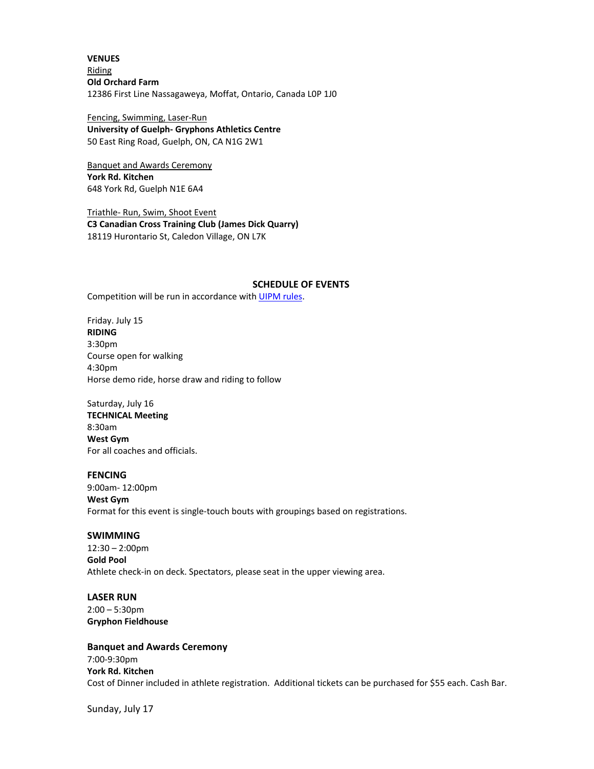**VENUES** Riding **Old Orchard Farm** 12386 First Line Nassagaweya, Moffat, Ontario, Canada L0P 1J0

Fencing, Swimming, Laser-Run **University of Guelph- Gryphons Athletics Centre** 50 East Ring Road, Guelph, ON, CA N1G 2W1

Banquet and Awards Ceremony **York Rd. Kitchen** 648 York Rd, Guelph N1E 6A4

Triathle- Run, Swim, Shoot Event **C3 Canadian Cross Training Club (James Dick Quarry)** 18119 Hurontario St, Caledon Village, ON L7K

### **SCHEDULE OF EVENTS**

Competition will be run in accordance with [UIPM rules.](https://www.uipmworld.org/uipm-rules-and-regulations)

Friday. July 15 **RIDING** 3:30pm Course open for walking 4:30pm Horse demo ride, horse draw and riding to follow

Saturday, July 16 **TECHNICAL Meeting** 8:30am **West Gym** For all coaches and officials.

## **FENCING**

9:00am- 12:00pm **West Gym** Format for this event is single-touch bouts with groupings based on registrations.

#### **SWIMMING**

12:30 – 2:00pm **Gold Pool** Athlete check-in on deck. Spectators, please seat in the upper viewing area.

## **LASER RUN**

2:00 – 5:30pm **Gryphon Fieldhouse**

**Banquet and Awards Ceremony** 7:00-9:30pm **York Rd. Kitchen** Cost of Dinner included in athlete registration. Additional tickets can be purchased for \$55 each. Cash Bar.

Sunday, July 17